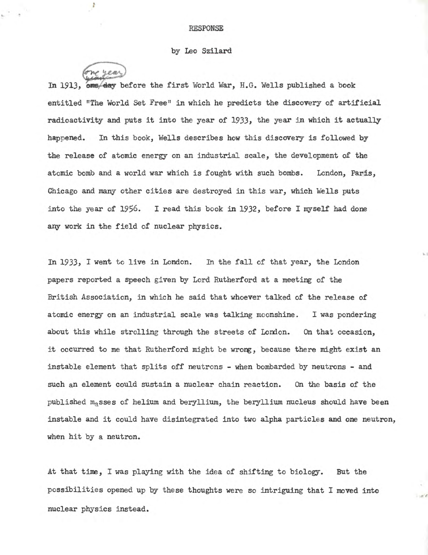## RESPONSE

## by Leo Szilard

one year

t

In 1913, one day before the first World War, H.G. Wells published a book entitled "The World Set Free" in which he predicts the discovery of artificial radioactivity and puts it into the year of 1933, the year in which it actually happened. In this book, Wells describes how this discovery is followed by the release of atomic energy on an industrial scale, the development of the atomic bomb and a world war which is fought with such bombs. London, Paris, Chicago and many other cities are destroyed in this war, which Wells puts into the year of  $1956.$  I read this book in  $1932$ , before I myself had done any work in the field of nuclear physics.

In 1933, I went to live in London. In the fall of that year, the London papers reported a Speech given by Lord Rutherford at a meeting of the British Association, in which he said that whoever talked of the release of atomic energy on an industrial scale was talking moonshine. I was pondering about this while strolling through the streets of London. On that occasion, it occurred to me that Rutherford might be wrong, because there might exist an instable element that splits off neutrons - when bombarded by neutrons - and such an element could sustain a nuclear chain reaction. On the basis of the published masses of helium and beryllium, the beryllium nucleus should have been instable and it could have disintegrated into two alpha particles and one neutron, when hit by a neutron.

At that *time,* I was playing with the idea of shifting to biology. But the possibilities opened up by these thoughts were so intriguing that I moved into nuclear physics instead.

 $-10^{-6}$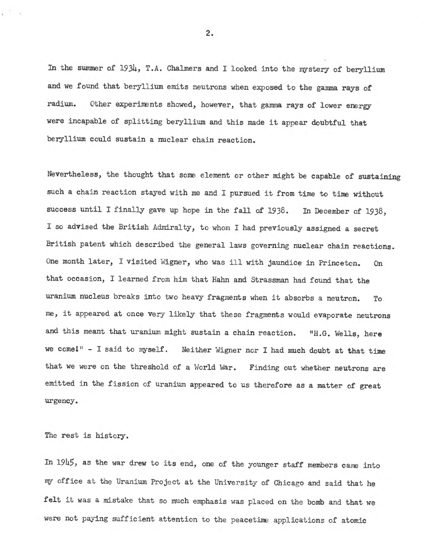In the summer of 1934, T.A. Chalmers and I looked into the mystery of beryllium and we found that beryllium emits neutrons when exposed to the gamma rays of radium. Other experiments showed, however, that gamma rays of lower energy were incapable of splitting beryllium and this made it appear doubtful that beryllium could sustain a nuclear chain reaction.

Nevertheless, the thought that some element or other might be capable of sustaining such a chain reaction stayed with me and I pursued it from time to time without success until I finally gave up hope in the fall of 1938. In December of 1938, I so advised the British Admiralty, to whom I had previously assigned a secret British patent which described the general laws governing nuclear chain reactions. One month later, I visited Wigner, who was ill with jaundice in Princeton. On that occasion, I learned from him that Hahn and Strassman had found that the uranium nucleus breaks into two heavy fragments when it absorbs a neutron. To me, it appeared at once very likely that these fragments would evaporate neutrons and this meant that uranium might sustain a chain reaction. "H.G. Wells, here we come!" - I said to myself. Weither Wigner nor I had much doubt at that time that we were on the threshold of a World War. Finding out whether neutrons are emitted in the fission of uranium appeared to us therefore as a matter of great urgency.

The rest is history.

 $\mathbf{r}^{-1}$  .

In 1945, as the war drew to its end, one of the younger staff members came into my office at the Uranium Project at the University of Chicago and said that he felt it was a mistake that so much emphasis was placed on the bomb and that we were not paying sufficient attention to the peacetime applications of atomic

2.